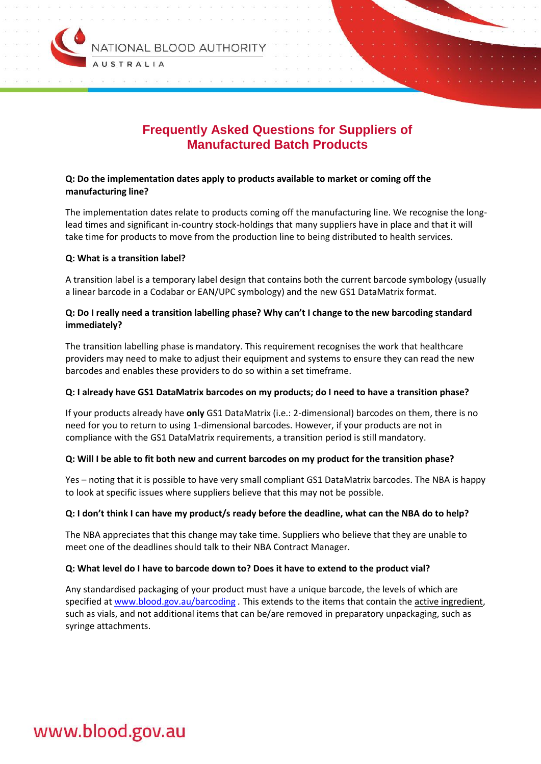

# **Frequently Asked Questions for Suppliers of Manufactured Batch Products**

# **Q: Do the implementation dates apply to products available to market or coming off the manufacturing line?**

The implementation dates relate to products coming off the manufacturing line. We recognise the longlead times and significant in-country stock-holdings that many suppliers have in place and that it will take time for products to move from the production line to being distributed to health services.

#### **Q: What is a transition label?**

A transition label is a temporary label design that contains both the current barcode symbology (usually a linear barcode in a Codabar or EAN/UPC symbology) and the new GS1 DataMatrix format.

# **Q: Do I really need a transition labelling phase? Why can't I change to the new barcoding standard immediately?**

The transition labelling phase is mandatory. This requirement recognises the work that healthcare providers may need to make to adjust their equipment and systems to ensure they can read the new barcodes and enables these providers to do so within a set timeframe.

#### **Q: I already have GS1 DataMatrix barcodes on my products; do I need to have a transition phase?**

If your products already have **only** GS1 DataMatrix (i.e.: 2-dimensional) barcodes on them, there is no need for you to return to using 1-dimensional barcodes. However, if your products are not in compliance with the GS1 DataMatrix requirements, a transition period is still mandatory.

#### **Q: Will I be able to fit both new and current barcodes on my product for the transition phase?**

Yes – noting that it is possible to have very small compliant GS1 DataMatrix barcodes. The NBA is happy to look at specific issues where suppliers believe that this may not be possible.

#### **Q: I don't think I can have my product/s ready before the deadline, what can the NBA do to help?**

The NBA appreciates that this change may take time. Suppliers who believe that they are unable to meet one of the deadlines should talk to their NBA Contract Manager.

#### **Q: What level do I have to barcode down to? Does it have to extend to the product vial?**

Any standardised packaging of your product must have a unique barcode, the levels of which are specified at [www.blood.gov.au/barcoding](http://www.blood.gov.au/barcoding) *.* This extends to the items that contain the active ingredient, such as vials, and not additional items that can be/are removed in preparatory unpackaging, such as syringe attachments.

# www.blood.gov.au